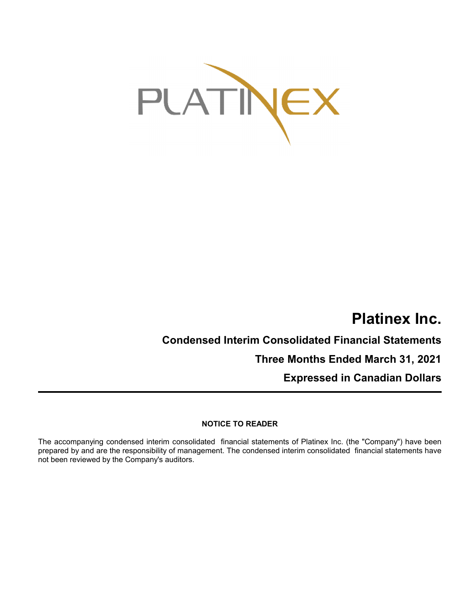

# **Platinex Inc.**

**Condensed Interim Consolidated Financial Statements Three Months Ended March 31, 2021**

**Expressed in Canadian Dollars**

## **NOTICE TO READER**

The accompanying condensed interim consolidated financial statements of Platinex Inc. (the "Company") have been prepared by and are the responsibility of management. The condensed interim consolidated financial statements have not been reviewed by the Company's auditors.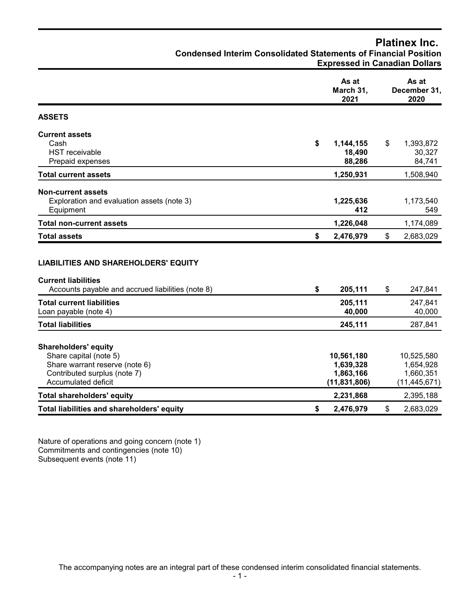## **Condensed Interim Consolidated Statements of Financial Position Expressed in Canadian Dollars As at As at March 31, December 31, 2021 2020 Current assets** Cash **\$ 1,144,155** \$ 1,393,872 HST receivable **18,490** 30,327 Prepaid expenses **84,741 88,286** 84,741 **Total current assets 1,250,931** 1,508,940 **Non-current assets** Exploration and evaluation assets (note 3) **1,225,636** 1,173,540 Equipment **412** 549 **Total non-current assets 1,226,048** 1,174,089 **Total assets \$ 2,476,979** \$ 2,683,029 **LIABILITIES AND SHAREHOLDERS' EQUITY Current liabilities** Accounts payable and accrued liabilities (note 8) **\$ 205,111** \$ 247,841 **Total current liabilities 205,111** 247,841 Loan payable (note 4) **40,000** 40,000 **40,000** 40,000 **40,000** 40,000

**Platinex Inc.**

| <b>Total liabilities</b>                   | 245.111        | 287,841        |
|--------------------------------------------|----------------|----------------|
|                                            |                |                |
| <b>Shareholders' equity</b>                |                |                |
| Share capital (note 5)                     | 10,561,180     | 10,525,580     |
| Share warrant reserve (note 6)             | 1,639,328      | 1,654,928      |
| Contributed surplus (note 7)               | 1,863,166      | 1.660.351      |
| Accumulated deficit                        | (11, 831, 806) | (11, 445, 671) |
| <b>Total shareholders' equity</b>          | 2,231,868      | 2,395,188      |
| Total liabilities and shareholders' equity | 2,476,979<br>S | 2,683,029      |

Nature of operations and going concern (note 1) Commitments and contingencies (note 10) Subsequent events (note 11)

**ASSETS**

The accompanying notes are an integral part of these condensed interim consolidated financial statements.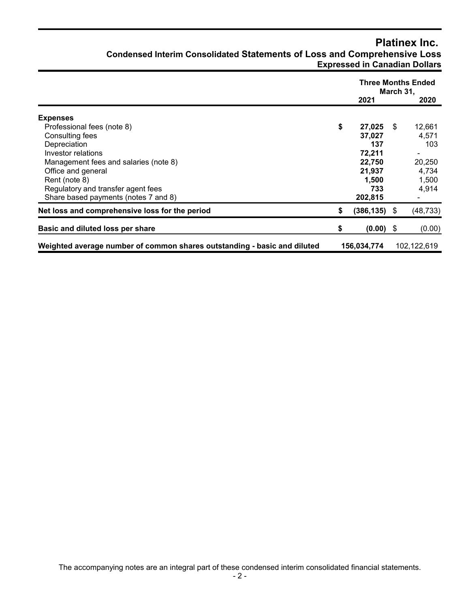## **Platinex Inc. Condensed Interim Consolidated Statements of Loss and Comprehensive Loss Expressed in Canadian Dollars**

|                                                                          |                       | March 31, | <b>Three Months Ended</b> |
|--------------------------------------------------------------------------|-----------------------|-----------|---------------------------|
|                                                                          | 2021                  |           | 2020                      |
| <b>Expenses</b>                                                          |                       |           |                           |
| Professional fees (note 8)                                               | \$<br>27,025          | -\$       | 12,661                    |
| Consulting fees                                                          | 37,027                |           | 4,571                     |
| Depreciation                                                             | 137                   |           | 103                       |
| Investor relations                                                       | 72,211                |           |                           |
| Management fees and salaries (note 8)                                    | 22,750                |           | 20,250                    |
| Office and general                                                       | 21,937                |           | 4,734                     |
| Rent (note 8)                                                            | 1,500                 |           | 1,500                     |
| Regulatory and transfer agent fees                                       | 733                   |           | 4,914                     |
| Share based payments (notes 7 and 8)                                     | 202,815               |           |                           |
| Net loss and comprehensive loss for the period                           | \$<br>$(386, 135)$ \$ |           | (48, 733)                 |
| Basic and diluted loss per share                                         | \$<br>$(0.00)$ \$     |           | (0.00)                    |
| Weighted average number of common shares outstanding - basic and diluted | 156,034,774           |           | 102,122,619               |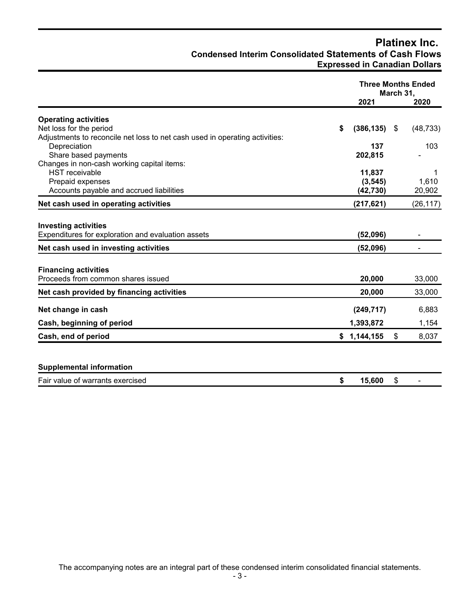## **Platinex Inc. Condensed Interim Consolidated Statements of Cash Flows Expressed in Canadian Dollars**

|                                                                             |                       | <b>Three Months Ended</b><br>March 31, |           |
|-----------------------------------------------------------------------------|-----------------------|----------------------------------------|-----------|
|                                                                             | 2021                  |                                        | 2020      |
| <b>Operating activities</b>                                                 |                       |                                        |           |
| Net loss for the period                                                     | \$<br>$(386, 135)$ \$ |                                        | (48, 733) |
| Adjustments to reconcile net loss to net cash used in operating activities: |                       |                                        |           |
| Depreciation                                                                | 137                   |                                        | 103       |
| Share based payments                                                        | 202,815               |                                        |           |
| Changes in non-cash working capital items:                                  |                       |                                        |           |
| <b>HST</b> receivable                                                       | 11,837                |                                        | 1         |
| Prepaid expenses                                                            | (3, 545)              |                                        | 1,610     |
| Accounts payable and accrued liabilities                                    | (42, 730)             |                                        | 20,902    |
| Net cash used in operating activities                                       | (217, 621)            |                                        | (26, 117) |
| <b>Investing activities</b>                                                 |                       |                                        |           |
| Expenditures for exploration and evaluation assets                          | (52,096)              |                                        |           |
| Net cash used in investing activities                                       | (52,096)              |                                        |           |
| <b>Financing activities</b>                                                 |                       |                                        |           |
| Proceeds from common shares issued                                          | 20,000                |                                        | 33,000    |
| Net cash provided by financing activities                                   | 20,000                |                                        | 33,000    |
| Net change in cash                                                          | (249, 717)            |                                        | 6,883     |
| Cash, beginning of period                                                   | 1,393,872             |                                        | 1,154     |
| Cash, end of period                                                         | \$1,144,155           | \$                                     | 8,037     |
|                                                                             |                       |                                        |           |
| <b>Supplemental information</b>                                             |                       |                                        |           |
| Fair value of warrants exercised                                            | \$<br>15,600          | \$                                     |           |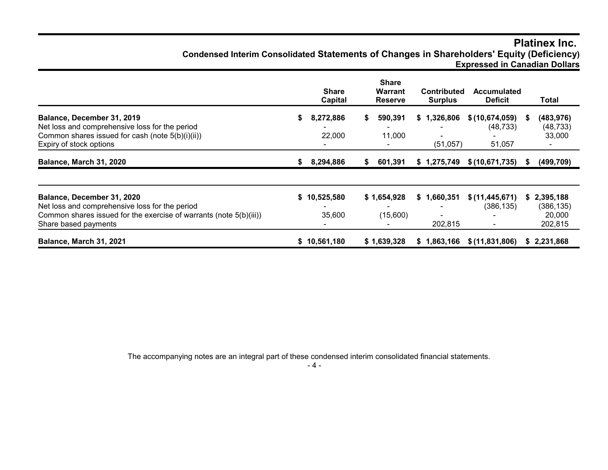## **Platinex Inc. Condensed Interim Consolidated Statements of Changes in Shareholders' Equity (Deficiency) Expressed in Canadian Dollars**

|                                                                                                                                                                            |    | <b>Share</b><br>Capital |    | <b>Share</b><br><b>Warrant</b><br><b>Reserve</b> | <b>Contributed</b><br><b>Surplus</b> | <b>Accumulated</b><br><b>Deficit</b>  |      | Total                                        |
|----------------------------------------------------------------------------------------------------------------------------------------------------------------------------|----|-------------------------|----|--------------------------------------------------|--------------------------------------|---------------------------------------|------|----------------------------------------------|
| Balance, December 31, 2019<br>Net loss and comprehensive loss for the period<br>Common shares issued for cash (note 5(b)(i)(ii))<br>Expiry of stock options                | S. | 8,272,886<br>22,000     | S. | 590,391<br>11,000                                | \$1,326,806<br>(51, 057)             | \$(10,674,059)<br>(48, 733)<br>51,057 | - 56 | (483, 976)<br>(48, 733)<br>33,000            |
| Balance, March 31, 2020                                                                                                                                                    | S. | 8,294,886               | S  | 601,391                                          | \$1,275,749                          | \$(10,671,735)                        | -56  | (499, 709)                                   |
| Balance, December 31, 2020<br>Net loss and comprehensive loss for the period<br>Common shares issued for the exercise of warrants (note 5(b)(iii))<br>Share based payments | S. | 10,525,580<br>35,600    |    | \$1,654,928<br>(15,600)                          | \$1,660,351<br>202.815               | \$(11, 445, 671)<br>(386, 135)        | S.   | 2,395,188<br>(386, 135)<br>20,000<br>202,815 |
| Balance, March 31, 2021                                                                                                                                                    |    | \$10,561,180            |    | \$1,639,328                                      | \$1,863,166                          | \$(11,831,806)                        | S.   | 2,231,868                                    |

The accompanying notes are an integral part of these condensed interim consolidated financial statements.

- 4 -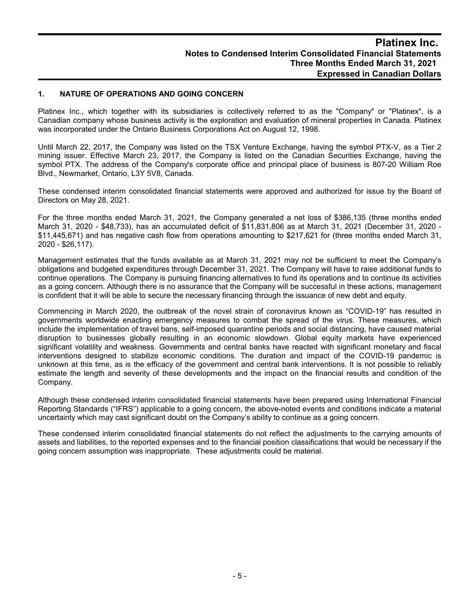#### **1. NATURE OF OPERATIONS AND GOING CONCERN**

Platinex Inc., which together with its subsidiaries is collectively referred to as the "Company" or "Platinex", is a Canadian company whose business activity is the exploration and evaluation of mineral properties in Canada. Platinex was incorporated under the Ontario Business Corporations Act on August 12, 1998.

Until March 22, 2017, the Company was listed on the TSX Venture Exchange, having the symbol PTX-V, as a Tier 2 mining issuer. Effective March 23, 2017, the Company is listed on the Canadian Securities Exchange, having the symbol PTX. The address of the Company's corporate office and principal place of business is 807-20 William Roe Blvd., Newmarket, Ontario, L3Y 5V8, Canada.

These condensed interim consolidated financial statements were approved and authorized for issue by the Board of Directors on May 28, 2021.

For the three months ended March 31, 2021, the Company generated a net loss of \$386,135 (three months ended March 31, 2020 - \$48,733), has an accumulated deficit of \$11,831,806 as at March 31, 2021 (December 31, 2020 - \$11,445,671) and has negative cash flow from operations amounting to \$217,621 for (three months ended March 31, 2020 - \$26,117).

Management estimates that the funds available as at March 31, 2021 may not be sufficient to meet the Company's obligations and budgeted expenditures through December 31, 2021. The Company will have to raise additional funds to continue operations. The Company is pursuing financing alternatives to fund its operations and to continue its activities as a going concern. Although there is no assurance that the Company will be successful in these actions, management is confident that it will be able to secure the necessary financing through the issuance of new debt and equity.

Commencing in March 2020, the outbreak of the novel strain of coronavirus known as "COVID-19" has resulted in governments worldwide enacting emergency measures to combat the spread of the virus. These measures, which include the implementation of travel bans, self-imposed quarantine periods and social distancing, have caused material disruption to businesses globally resulting in an economic slowdown. Global equity markets have experienced significant volatility and weakness. Governments and central banks have reacted with significant monetary and fiscal interventions designed to stabilize economic conditions. The duration and impact of the COVID-19 pandemic is unknown at this time, as is the efficacy of the government and central bank interventions. It is not possible to reliably estimate the length and severity of these developments and the impact on the financial results and condition of the Company.

Although these condensed interim consolidated financial statements have been prepared using International Financial Reporting Standards ("IFRS") applicable to a going concern, the above-noted events and conditions indicate a material uncertainty which may cast significant doubt on the Company's ability to continue as a going concern.

These condensed interim consolidated financial statements do not reflect the adjustments to the carrying amounts of assets and liabilities, to the reported expenses and to the financial position classifications that would be necessary if the going concern assumption was inappropriate. These adjustments could be material.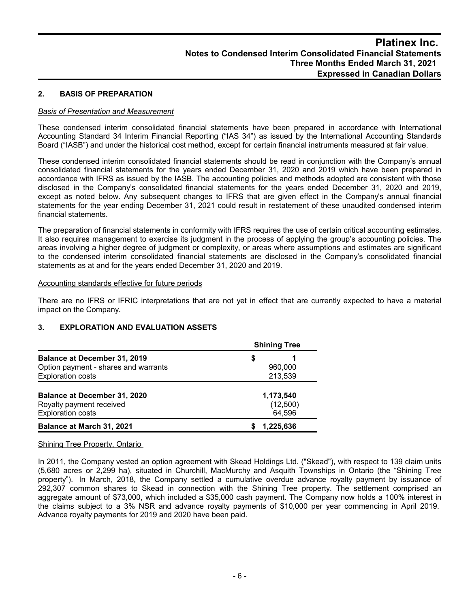#### **2. BASIS OF PREPARATION**

#### *Basis of Presentation and Measurement*

These condensed interim consolidated financial statements have been prepared in accordance with International Accounting Standard 34 Interim Financial Reporting ("IAS 34") as issued by the International Accounting Standards Board ("IASB") and under the historical cost method, except for certain financial instruments measured at fair value.

These condensed interim consolidated financial statements should be read in conjunction with the Company's annual consolidated financial statements for the years ended December 31, 2020 and 2019 which have been prepared in accordance with IFRS as issued by the IASB. The accounting policies and methods adopted are consistent with those disclosed in the Company's consolidated financial statements for the years ended December 31, 2020 and 2019, except as noted below. Any subsequent changes to IFRS that are given effect in the Company's annual financial statements for the year ending December 31, 2021 could result in restatement of these unaudited condensed interim financial statements.

The preparation of financial statements in conformity with IFRS requires the use of certain critical accounting estimates. It also requires management to exercise its judgment in the process of applying the group's accounting policies. The areas involving a higher degree of judgment or complexity, or areas where assumptions and estimates are significant to the condensed interim consolidated financial statements are disclosed in the Company's consolidated financial statements as at and for the years ended December 31, 2020 and 2019.

#### Accounting standards effective for future periods

There are no IFRS or IFRIC interpretations that are not yet in effect that are currently expected to have a material impact on the Company.

#### **3. EXPLORATION AND EVALUATION ASSETS**

|                                                      | <b>Shining Tree</b> |  |  |  |  |  |
|------------------------------------------------------|---------------------|--|--|--|--|--|
| <b>Balance at December 31, 2019</b>                  | S                   |  |  |  |  |  |
| Option payment - shares and warrants                 | 960,000             |  |  |  |  |  |
| <b>Exploration costs</b>                             | 213,539             |  |  |  |  |  |
|                                                      |                     |  |  |  |  |  |
| <b>Balance at December 31, 2020</b>                  | 1,173,540           |  |  |  |  |  |
| Royalty payment received<br><b>Exploration costs</b> | (12,500)<br>64,596  |  |  |  |  |  |
| Balance at March 31, 2021                            | 1.225.636           |  |  |  |  |  |

#### Shining Tree Property, Ontario

In 2011, the Company vested an option agreement with Skead Holdings Ltd. ("Skead"), with respect to 139 claim units (5,680 acres or 2,299 ha), situated in Churchill, MacMurchy and Asquith Townships in Ontario (the "Shining Tree property"). In March, 2018, the Company settled a cumulative overdue advance royalty payment by issuance of 292,307 common shares to Skead in connection with the Shining Tree property. The settlement comprised an aggregate amount of \$73,000, which included a \$35,000 cash payment. The Company now holds a 100% interest in the claims subject to a 3% NSR and advance royalty payments of \$10,000 per year commencing in April 2019. Advance royalty payments for 2019 and 2020 have been paid.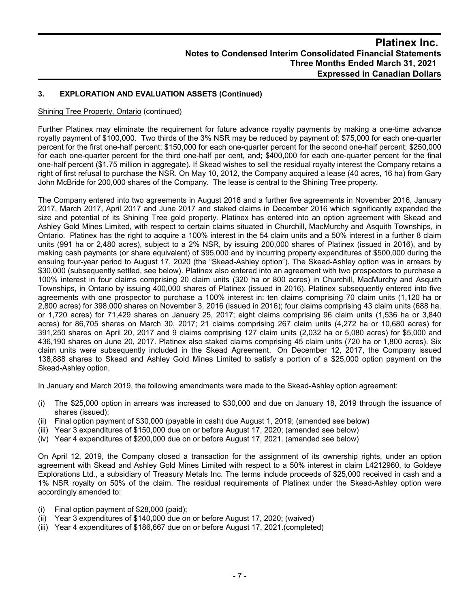#### **3. EXPLORATION AND EVALUATION ASSETS (Continued)**

#### Shining Tree Property, Ontario (continued)

Further Platinex may eliminate the requirement for future advance royalty payments by making a one-time advance royalty payment of \$100,000. Two thirds of the 3% NSR may be reduced by payment of: \$75,000 for each one-quarter percent for the first one-half percent; \$150,000 for each one-quarter percent for the second one-half percent; \$250,000 for each one-quarter percent for the third one-half per cent, and; \$400,000 for each one-quarter percent for the final one-half percent (\$1.75 million in aggregate). If Skead wishes to sell the residual royalty interest the Company retains a right of first refusal to purchase the NSR. On May 10, 2012, the Company acquired a lease (40 acres, 16 ha) from Gary John McBride for 200,000 shares of the Company. The lease is central to the Shining Tree property.

The Company entered into two agreements in August 2016 and a further five agreements in November 2016, January 2017, March 2017, April 2017 and June 2017 and staked claims in December 2016 which significantly expanded the size and potential of its Shining Tree gold property. Platinex has entered into an option agreement with Skead and Ashley Gold Mines Limited, with respect to certain claims situated in Churchill, MacMurchy and Asquith Townships, in Ontario. Platinex has the right to acquire a 100% interest in the 54 claim units and a 50% interest in a further 8 claim units (991 ha or 2,480 acres), subject to a 2% NSR, by issuing 200,000 shares of Platinex (issued in 2016), and by making cash payments (or share equivalent) of \$95,000 and by incurring property expenditures of \$500,000 during the ensuing four-year period to August 17, 2020 (the "Skead-Ashley option"). The Skead-Ashley option was in arrears by \$30,000 (subsequently settled, see below). Platinex also entered into an agreement with two prospectors to purchase a 100% interest in four claims comprising 20 claim units (320 ha or 800 acres) in Churchill, MacMurchy and Asquith Townships, in Ontario by issuing 400,000 shares of Platinex (issued in 2016). Platinex subsequently entered into five agreements with one prospector to purchase a 100% interest in: ten claims comprising 70 claim units (1,120 ha or 2,800 acres) for 398,000 shares on November 3, 2016 (issued in 2016); four claims comprising 43 claim units (688 ha. or 1,720 acres) for 71,429 shares on January 25, 2017; eight claims comprising 96 claim units (1,536 ha or 3,840 acres) for 86,705 shares on March 30, 2017; 21 claims comprising 267 claim units (4,272 ha or 10,680 acres) for 391,250 shares on April 20, 2017 and 9 claims comprising 127 claim units (2,032 ha or 5,080 acres) for \$5,000 and 436,190 shares on June 20, 2017. Platinex also staked claims comprising 45 claim units (720 ha or 1,800 acres). Six claim units were subsequently included in the Skead Agreement. On December 12, 2017, the Company issued 138,888 shares to Skead and Ashley Gold Mines Limited to satisfy a portion of a \$25,000 option payment on the Skead-Ashley option.

In January and March 2019, the following amendments were made to the Skead-Ashley option agreement:

- (i) The \$25,000 option in arrears was increased to \$30,000 and due on January 18, 2019 through the issuance of shares (issued);
- (ii) Final option payment of \$30,000 (payable in cash) due August 1, 2019; (amended see below)
- (iii) Year 3 expenditures of \$150,000 due on or before August 17, 2020; (amended see below)
- (iv) Year 4 expenditures of \$200,000 due on or before August 17, 2021. (amended see below)

On April 12, 2019, the Company closed a transaction for the assignment of its ownership rights, under an option agreement with Skead and Ashley Gold Mines Limited with respect to a 50% interest in claim L4212960, to Goldeye Explorations Ltd., a subsidiary of Treasury Metals Inc. The terms include proceeds of \$25,000 received in cash and a 1% NSR royalty on 50% of the claim. The residual requirements of Platinex under the Skead-Ashley option were accordingly amended to:

- (i) Final option payment of \$28,000 (paid);
- (ii) Year 3 expenditures of \$140,000 due on or before August 17, 2020; (waived)
- (iii) Year 4 expenditures of \$186,667 due on or before August 17, 2021.(completed)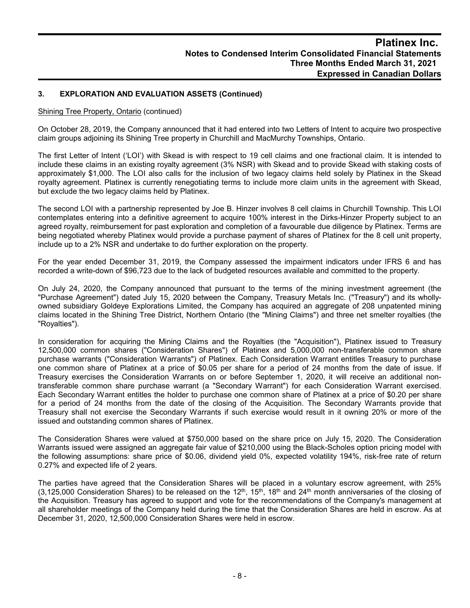#### **3. EXPLORATION AND EVALUATION ASSETS (Continued)**

#### Shining Tree Property, Ontario (continued)

On October 28, 2019, the Company announced that it had entered into two Letters of Intent to acquire two prospective claim groups adjoining its Shining Tree property in Churchill and MacMurchy Townships, Ontario.

The first Letter of Intent ('LOI') with Skead is with respect to 19 cell claims and one fractional claim. It is intended to include these claims in an existing royalty agreement (3% NSR) with Skead and to provide Skead with staking costs of approximately \$1,000. The LOI also calls for the inclusion of two legacy claims held solely by Platinex in the Skead royalty agreement. Platinex is currently renegotiating terms to include more claim units in the agreement with Skead, but exclude the two legacy claims held by Platinex.

The second LOI with a partnership represented by Joe B. Hinzer involves 8 cell claims in Churchill Township. This LOI contemplates entering into a definitive agreement to acquire 100% interest in the Dirks-Hinzer Property subject to an agreed royalty, reimbursement for past exploration and completion of a favourable due diligence by Platinex. Terms are being negotiated whereby Platinex would provide a purchase payment of shares of Platinex for the 8 cell unit property, include up to a 2% NSR and undertake to do further exploration on the property.

For the year ended December 31, 2019, the Company assessed the impairment indicators under IFRS 6 and has recorded a write-down of \$96,723 due to the lack of budgeted resources available and committed to the property.

On July 24, 2020, the Company announced that pursuant to the terms of the mining investment agreement (the "Purchase Agreement") dated July 15, 2020 between the Company, Treasury Metals Inc. ("Treasury") and its whollyowned subsidiary Goldeye Explorations Limited, the Company has acquired an aggregate of 208 unpatented mining claims located in the Shining Tree District, Northern Ontario (the "Mining Claims") and three net smelter royalties (the "Royalties").

In consideration for acquiring the Mining Claims and the Royalties (the "Acquisition"), Platinex issued to Treasury 12,500,000 common shares ("Consideration Shares") of Platinex and 5,000,000 non-transferable common share purchase warrants ("Consideration Warrants") of Platinex. Each Consideration Warrant entitles Treasury to purchase one common share of Platinex at a price of \$0.05 per share for a period of 24 months from the date of issue. If Treasury exercises the Consideration Warrants on or before September 1, 2020, it will receive an additional nontransferable common share purchase warrant (a "Secondary Warrant") for each Consideration Warrant exercised. Each Secondary Warrant entitles the holder to purchase one common share of Platinex at a price of \$0.20 per share for a period of 24 months from the date of the closing of the Acquisition. The Secondary Warrants provide that Treasury shall not exercise the Secondary Warrants if such exercise would result in it owning 20% or more of the issued and outstanding common shares of Platinex.

The Consideration Shares were valued at \$750,000 based on the share price on July 15, 2020. The Consideration Warrants issued were assigned an aggregate fair value of \$210,000 using the Black-Scholes option pricing model with the following assumptions: share price of \$0.06, dividend yield 0%, expected volatility 194%, risk-free rate of return 0.27% and expected life of 2 years.

The parties have agreed that the Consideration Shares will be placed in a voluntary escrow agreement, with 25% (3,125,000 Consideration Shares) to be released on the 12<sup>th</sup>, 15<sup>th</sup>, 18<sup>th</sup> and 24<sup>th</sup> month anniversaries of the closing of the Acquisition. Treasury has agreed to support and vote for the recommendations of the Company's management at all shareholder meetings of the Company held during the time that the Consideration Shares are held in escrow. As at December 31, 2020, 12,500,000 Consideration Shares were held in escrow.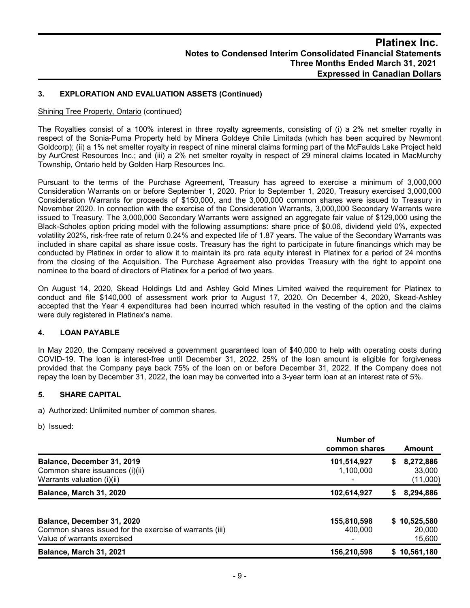#### **3. EXPLORATION AND EVALUATION ASSETS (Continued)**

#### Shining Tree Property, Ontario (continued)

The Royalties consist of a 100% interest in three royalty agreements, consisting of (i) a 2% net smelter royalty in respect of the Sonia-Puma Property held by Minera Goldeye Chile Limitada (which has been acquired by Newmont Goldcorp); (ii) a 1% net smelter royalty in respect of nine mineral claims forming part of the McFaulds Lake Project held by AurCrest Resources Inc.; and (iii) a 2% net smelter royalty in respect of 29 mineral claims located in MacMurchy Township, Ontario held by Golden Harp Resources Inc.

Pursuant to the terms of the Purchase Agreement, Treasury has agreed to exercise a minimum of 3,000,000 Consideration Warrants on or before September 1, 2020. Prior to September 1, 2020, Treasury exercised 3,000,000 Consideration Warrants for proceeds of \$150,000, and the 3,000,000 common shares were issued to Treasury in November 2020. In connection with the exercise of the Consideration Warrants, 3,000,000 Secondary Warrants were issued to Treasury. The 3,000,000 Secondary Warrants were assigned an aggregate fair value of \$129,000 using the Black-Scholes option pricing model with the following assumptions: share price of \$0.06, dividend yield 0%, expected volatility 202%, risk-free rate of return 0.24% and expected life of 1.87 years. The value of the Secondary Warrants was included in share capital as share issue costs. Treasury has the right to participate in future financings which may be conducted by Platinex in order to allow it to maintain its pro rata equity interest in Platinex for a period of 24 months from the closing of the Acquisition. The Purchase Agreement also provides Treasury with the right to appoint one nominee to the board of directors of Platinex for a period of two years.

On August 14, 2020, Skead Holdings Ltd and Ashley Gold Mines Limited waived the requirement for Platinex to conduct and file \$140,000 of assessment work prior to August 17, 2020. On December 4, 2020, Skead-Ashley accepted that the Year 4 expenditures had been incurred which resulted in the vesting of the option and the claims were duly registered in Platinex's name.

#### **4. LOAN PAYABLE**

In May 2020, the Company received a government guaranteed loan of \$40,000 to help with operating costs during COVID-19. The loan is interest-free until December 31, 2022. 25% of the loan amount is eligible for forgiveness provided that the Company pays back 75% of the loan on or before December 31, 2022. If the Company does not repay the loan by December 31, 2022, the loan may be converted into a 3-year term loan at an interest rate of 5%.

#### **5. SHARE CAPITAL**

a) Authorized: Unlimited number of common shares.

b) Issued:

|                                                                                                                      | Number of<br>common shares | Amount                               |
|----------------------------------------------------------------------------------------------------------------------|----------------------------|--------------------------------------|
| Balance, December 31, 2019<br>Common share issuances (i)(ii)<br>Warrants valuation (i)(ii)                           | 101,514,927<br>1,100,000   | 8,272,886<br>S<br>33,000<br>(11,000) |
| Balance, March 31, 2020                                                                                              | 102,614,927                | 8,294,886                            |
| Balance, December 31, 2020<br>Common shares issued for the exercise of warrants (iii)<br>Value of warrants exercised | 155,810,598<br>400,000     | \$10,525,580<br>20,000<br>15,600     |
| Balance, March 31, 2021                                                                                              | 156,210,598                | \$10,561,180                         |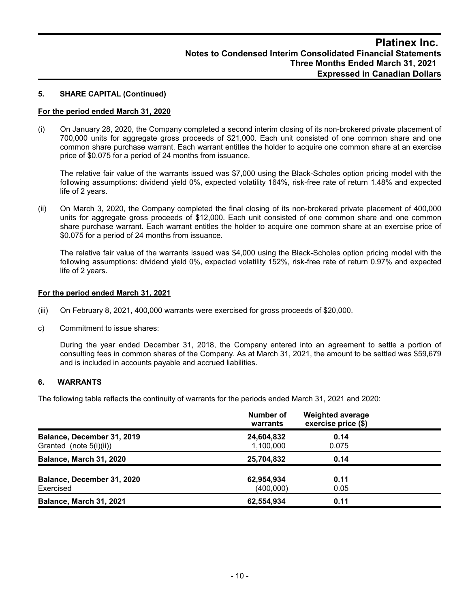#### **5. SHARE CAPITAL (Continued)**

#### **For the period ended March 31, 2020**

(i) On January 28, 2020, the Company completed a second interim closing of its non-brokered private placement of 700,000 units for aggregate gross proceeds of \$21,000. Each unit consisted of one common share and one common share purchase warrant. Each warrant entitles the holder to acquire one common share at an exercise price of \$0.075 for a period of 24 months from issuance.

The relative fair value of the warrants issued was \$7,000 using the Black-Scholes option pricing model with the following assumptions: dividend yield 0%, expected volatility 164%, risk-free rate of return 1.48% and expected life of 2 years.

(ii) On March 3, 2020, the Company completed the final closing of its non-brokered private placement of 400,000 units for aggregate gross proceeds of \$12,000. Each unit consisted of one common share and one common share purchase warrant. Each warrant entitles the holder to acquire one common share at an exercise price of \$0.075 for a period of 24 months from issuance.

The relative fair value of the warrants issued was \$4,000 using the Black-Scholes option pricing model with the following assumptions: dividend yield 0%, expected volatility 152%, risk-free rate of return 0.97% and expected life of 2 years.

#### **For the period ended March 31, 2021**

- (iii) On February 8, 2021, 400,000 warrants were exercised for gross proceeds of \$20,000.
- c) Commitment to issue shares:

During the year ended December 31, 2018, the Company entered into an agreement to settle a portion of consulting fees in common shares of the Company. As at March 31, 2021, the amount to be settled was \$59,679 and is included in accounts payable and accrued liabilities.

#### **6. WARRANTS**

The following table reflects the continuity of warrants for the periods ended March 31, 2021 and 2020:

|                                                       | Number of<br>warrants   | <b>Weighted average</b><br>exercise price (\$) |  |
|-------------------------------------------------------|-------------------------|------------------------------------------------|--|
| Balance, December 31, 2019<br>Granted (note 5(i)(ii)) | 24,604,832<br>1,100,000 | 0.14<br>0.075                                  |  |
| Balance, March 31, 2020                               | 25,704,832              | 0.14                                           |  |
| Balance, December 31, 2020<br>Exercised               | 62,954,934<br>(400,000) | 0.11<br>0.05                                   |  |
| <b>Balance, March 31, 2021</b>                        | 62,554,934              | 0.11                                           |  |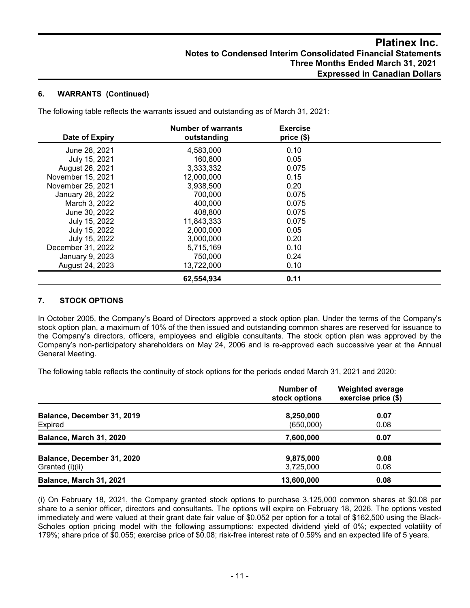#### **6. WARRANTS (Continued)**

The following table reflects the warrants issued and outstanding as of March 31, 2021:

| Date of Expiry    | <b>Number of warrants</b><br>outstanding | <b>Exercise</b><br>price(\$) |  |
|-------------------|------------------------------------------|------------------------------|--|
| June 28, 2021     | 4,583,000                                | 0.10                         |  |
| July 15, 2021     | 160,800                                  | 0.05                         |  |
| August 26, 2021   | 3,333,332                                | 0.075                        |  |
| November 15, 2021 | 12,000,000                               | 0.15                         |  |
| November 25, 2021 | 3,938,500                                | 0.20                         |  |
| January 28, 2022  | 700.000                                  | 0.075                        |  |
| March 3, 2022     | 400.000                                  | 0.075                        |  |
| June 30, 2022     | 408,800                                  | 0.075                        |  |
| July 15, 2022     | 11,843,333                               | 0.075                        |  |
| July 15, 2022     | 2,000,000                                | 0.05                         |  |
| July 15, 2022     | 3,000,000                                | 0.20                         |  |
| December 31, 2022 | 5.715.169                                | 0.10                         |  |
| January 9, 2023   | 750,000                                  | 0.24                         |  |
| August 24, 2023   | 13,722,000                               | 0.10                         |  |
|                   | 62,554,934                               | 0.11                         |  |

#### **7. STOCK OPTIONS**

In October 2005, the Company's Board of Directors approved a stock option plan. Under the terms of the Company's stock option plan, a maximum of 10% of the then issued and outstanding common shares are reserved for issuance to the Company's directors, officers, employees and eligible consultants. The stock option plan was approved by the Company's non-participatory shareholders on May 24, 2006 and is re-approved each successive year at the Annual General Meeting.

The following table reflects the continuity of stock options for the periods ended March 31, 2021 and 2020:

|                                               | Number of<br>stock options | <b>Weighted average</b><br>exercise price (\$) |
|-----------------------------------------------|----------------------------|------------------------------------------------|
| Balance, December 31, 2019<br>Expired         | 8,250,000<br>(650,000)     | 0.07<br>0.08                                   |
| Balance, March 31, 2020                       | 7,600,000                  | 0.07                                           |
| Balance, December 31, 2020<br>Granted (i)(ii) | 9,875,000<br>3,725,000     | 0.08<br>0.08                                   |
| <b>Balance, March 31, 2021</b>                | 13,600,000                 | 0.08                                           |

(i) On February 18, 2021, the Company granted stock options to purchase 3,125,000 common shares at \$0.08 per share to a senior officer, directors and consultants. The options will expire on February 18, 2026. The options vested immediately and were valued at their grant date fair value of \$0.052 per option for a total of \$162,500 using the Black-Scholes option pricing model with the following assumptions: expected dividend yield of 0%; expected volatility of 179%; share price of \$0.055; exercise price of \$0.08; risk-free interest rate of 0.59% and an expected life of 5 years.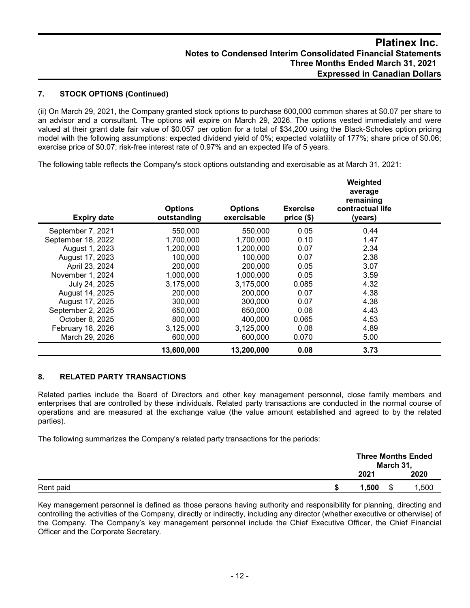## **Platinex Inc. Notes to Condensed Interim Consolidated Financial Statements Three Months Ended March 31, 2021 Expressed in Canadian Dollars**

#### **7. STOCK OPTIONS (Continued)**

(ii) On March 29, 2021, the Company granted stock options to purchase 600,000 common shares at \$0.07 per share to an advisor and a consultant. The options will expire on March 29, 2026. The options vested immediately and were valued at their grant date fair value of \$0.057 per option for a total of \$34,200 using the Black-Scholes option pricing model with the following assumptions: expected dividend yield of 0%; expected volatility of 177%; share price of \$0.06; exercise price of \$0.07; risk-free interest rate of 0.97% and an expected life of 5 years.

The following table reflects the Company's stock options outstanding and exercisable as at March 31, 2021:

| <b>Expiry date</b> | <b>Options</b><br>outstanding | <b>Options</b><br>exercisable | <b>Exercise</b><br>price (\$) | Weighted<br>average<br>remaining<br>contractual life<br>(years) |  |
|--------------------|-------------------------------|-------------------------------|-------------------------------|-----------------------------------------------------------------|--|
| September 7, 2021  | 550,000                       | 550,000                       | 0.05                          | 0.44                                                            |  |
| September 18, 2022 | 1,700,000                     | 1,700,000                     | 0.10                          | 1.47                                                            |  |
| August 1, 2023     | 1,200,000                     | 1,200,000                     | 0.07                          | 2.34                                                            |  |
| August 17, 2023    | 100.000                       | 100,000                       | 0.07                          | 2.38                                                            |  |
| April 23, 2024     | 200,000                       | 200,000                       | 0.05                          | 3.07                                                            |  |
| November 1, 2024   | 1,000,000                     | 1,000,000                     | 0.05                          | 3.59                                                            |  |
| July 24, 2025      | 3,175,000                     | 3,175,000                     | 0.085                         | 4.32                                                            |  |
| August 14, 2025    | 200,000                       | 200,000                       | 0.07                          | 4.38                                                            |  |
| August 17, 2025    | 300,000                       | 300,000                       | 0.07                          | 4.38                                                            |  |
| September 2, 2025  | 650,000                       | 650,000                       | 0.06                          | 4.43                                                            |  |
| October 8, 2025    | 800,000                       | 400,000                       | 0.065                         | 4.53                                                            |  |
| February 18, 2026  | 3,125,000                     | 3,125,000                     | 0.08                          | 4.89                                                            |  |
| March 29, 2026     | 600,000                       | 600,000                       | 0.070                         | 5.00                                                            |  |
|                    | 13,600,000                    | 13,200,000                    | 0.08                          | 3.73                                                            |  |

#### **8. RELATED PARTY TRANSACTIONS**

Related parties include the Board of Directors and other key management personnel, close family members and enterprises that are controlled by these individuals. Related party transactions are conducted in the normal course of operations and are measured at the exchange value (the value amount established and agreed to by the related parties).

The following summarizes the Company's related party transactions for the periods:

|           |       | March 31, | <b>Three Months Ended</b> |
|-----------|-------|-----------|---------------------------|
|           | 2021  |           | 2020                      |
| Rent paid | 1.500 | \$        | 1,500                     |

Key management personnel is defined as those persons having authority and responsibility for planning, directing and controlling the activities of the Company, directly or indirectly, including any director (whether executive or otherwise) of the Company. The Company's key management personnel include the Chief Executive Officer, the Chief Financial Officer and the Corporate Secretary.